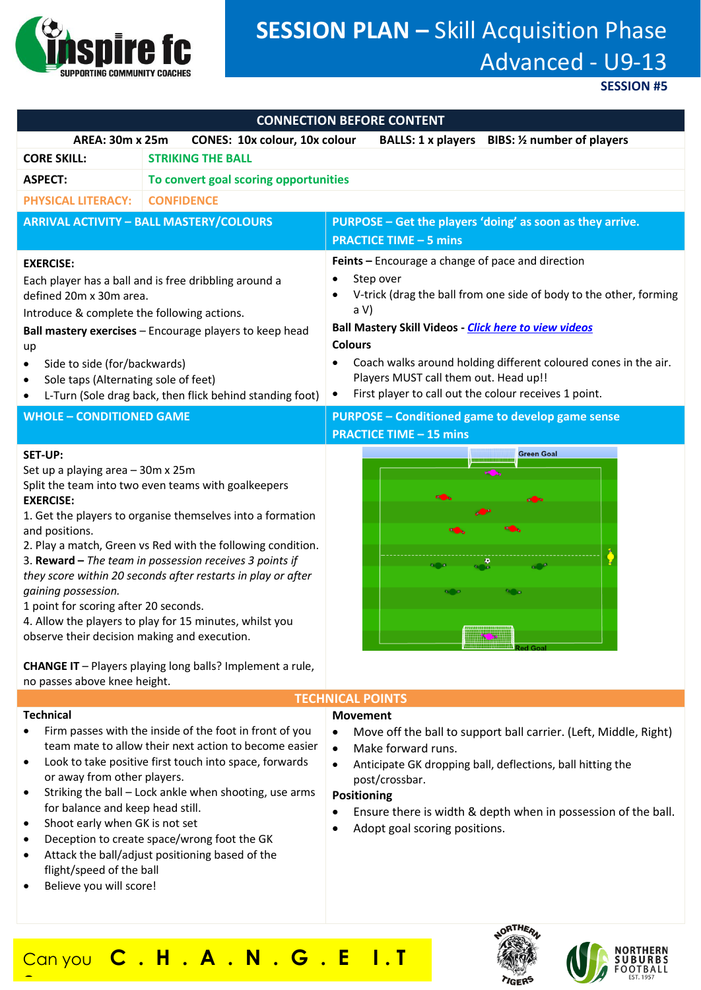

# **SESSION PLAN –** Skill Acquisition Phase Advanced - U9-13

**SESSION #5**

| <b>CONNECTION BEFORE CONTENT</b>                                                                                                                                                                                                                                                                                                                                                                                                                                                                                                                                                                                                                                                        |                                                                                                                                                                            |                                                                                                                                                                                                                                                                                                                                                                                                                 |
|-----------------------------------------------------------------------------------------------------------------------------------------------------------------------------------------------------------------------------------------------------------------------------------------------------------------------------------------------------------------------------------------------------------------------------------------------------------------------------------------------------------------------------------------------------------------------------------------------------------------------------------------------------------------------------------------|----------------------------------------------------------------------------------------------------------------------------------------------------------------------------|-----------------------------------------------------------------------------------------------------------------------------------------------------------------------------------------------------------------------------------------------------------------------------------------------------------------------------------------------------------------------------------------------------------------|
| <b>AREA: 30m x 25m</b>                                                                                                                                                                                                                                                                                                                                                                                                                                                                                                                                                                                                                                                                  | <b>CONES: 10x colour, 10x colour</b>                                                                                                                                       | <b>BIBS: 1/2 number of players</b><br><b>BALLS: 1 x players</b>                                                                                                                                                                                                                                                                                                                                                 |
| <b>CORE SKILL:</b>                                                                                                                                                                                                                                                                                                                                                                                                                                                                                                                                                                                                                                                                      | <b>STRIKING THE BALL</b>                                                                                                                                                   |                                                                                                                                                                                                                                                                                                                                                                                                                 |
| <b>ASPECT:</b>                                                                                                                                                                                                                                                                                                                                                                                                                                                                                                                                                                                                                                                                          | To convert goal scoring opportunities                                                                                                                                      |                                                                                                                                                                                                                                                                                                                                                                                                                 |
| <b>PHYSICAL LITERACY:</b>                                                                                                                                                                                                                                                                                                                                                                                                                                                                                                                                                                                                                                                               | <b>CONFIDENCE</b>                                                                                                                                                          |                                                                                                                                                                                                                                                                                                                                                                                                                 |
| <b>ARRIVAL ACTIVITY - BALL MASTERY/COLOURS</b>                                                                                                                                                                                                                                                                                                                                                                                                                                                                                                                                                                                                                                          |                                                                                                                                                                            | PURPOSE - Get the players 'doing' as soon as they arrive.                                                                                                                                                                                                                                                                                                                                                       |
|                                                                                                                                                                                                                                                                                                                                                                                                                                                                                                                                                                                                                                                                                         |                                                                                                                                                                            | <b>PRACTICE TIME - 5 mins</b>                                                                                                                                                                                                                                                                                                                                                                                   |
| <b>EXERCISE:</b><br>Each player has a ball and is free dribbling around a<br>defined 20m x 30m area.<br>Introduce & complete the following actions.<br>Ball mastery exercises - Encourage players to keep head<br>up<br>Side to side (for/backwards)<br>Sole taps (Alternating sole of feet)<br>٠<br>L-Turn (Sole drag back, then flick behind standing foot)                                                                                                                                                                                                                                                                                                                           |                                                                                                                                                                            | Feints - Encourage a change of pace and direction<br>Step over<br>V-trick (drag the ball from one side of body to the other, forming<br>a V<br><b>Ball Mastery Skill Videos - Click here to view videos</b><br><b>Colours</b><br>Coach walks around holding different coloured cones in the air.<br>Players MUST call them out. Head up!!<br>First player to call out the colour receives 1 point.<br>$\bullet$ |
| <b>WHOLE - CONDITIONED GAME</b>                                                                                                                                                                                                                                                                                                                                                                                                                                                                                                                                                                                                                                                         |                                                                                                                                                                            | <b>PURPOSE - Conditioned game to develop game sense</b>                                                                                                                                                                                                                                                                                                                                                         |
|                                                                                                                                                                                                                                                                                                                                                                                                                                                                                                                                                                                                                                                                                         |                                                                                                                                                                            | <b>PRACTICE TIME - 15 mins</b>                                                                                                                                                                                                                                                                                                                                                                                  |
| <b>SET-UP:</b><br>Set up a playing area - 30m x 25m<br>Split the team into two even teams with goalkeepers<br><b>EXERCISE:</b><br>1. Get the players to organise themselves into a formation<br>and positions.<br>2. Play a match, Green vs Red with the following condition.<br>3. Reward - The team in possession receives 3 points if<br>they score within 20 seconds after restarts in play or after<br>gaining possession.<br>1 point for scoring after 20 seconds.<br>4. Allow the players to play for 15 minutes, whilst you<br>observe their decision making and execution.<br><b>CHANGE IT</b> - Players playing long balls? Implement a rule,<br>no passes above knee height. |                                                                                                                                                                            | <b>Green Goal</b>                                                                                                                                                                                                                                                                                                                                                                                               |
| <b>TECHNICAL POINTS</b><br><b>Technical</b><br><b>Movement</b>                                                                                                                                                                                                                                                                                                                                                                                                                                                                                                                                                                                                                          |                                                                                                                                                                            |                                                                                                                                                                                                                                                                                                                                                                                                                 |
| or away from other players.                                                                                                                                                                                                                                                                                                                                                                                                                                                                                                                                                                                                                                                             | Firm passes with the inside of the foot in front of you<br>team mate to allow their next action to become easier<br>Look to take positive first touch into space, forwards | Move off the ball to support ball carrier. (Left, Middle, Right)<br>$\bullet$<br>Make forward runs.<br>$\bullet$<br>Anticipate GK dropping ball, deflections, ball hitting the<br>$\bullet$<br>post/crossbar.                                                                                                                                                                                                   |

- Striking the ball Lock ankle when shooting, use arms for balance and keep head still.
- Shoot early when GK is not set
- Deception to create space/wrong foot the GK
- Attack the ball/adjust positioning based of the flight/speed of the ball
- Believe you will score!

**?**

post/crossbar.

### **Positioning**

- Ensure there is width & depth when in possession of the ball.
- Adopt goal scoring positions.

Can you **C . H . A . N . G . E I . T** 



**NORTHERN**<br>SUBURBS  $FOOTBALL$